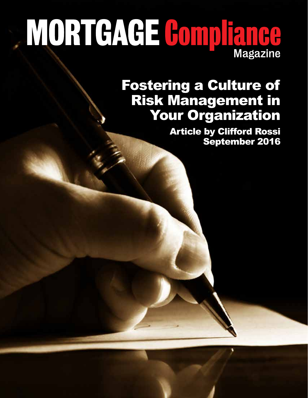# MORTGAGE Compliance

### Fostering a Culture of Risk Management in Your Organization

Article by Clifford Rossi September 2016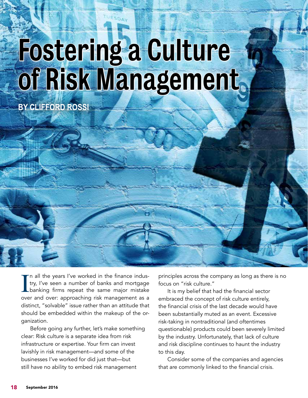## Fostering a Culture of Risk Management

**LUESDAY** 

**BY CLIFFORD ROSSI**

I'm all the years I've worked in the finance indus-<br>try, I've seen a number of banks and mortgage<br>banking firms repeat the same major mistake<br>over and over: approaching risk management as a n all the years I've worked in the finance industry, I've seen a number of banks and mortgage Lbanking firms repeat the same major mistake distinct, "solvable" issue rather than an attitude that should be embedded within the makeup of the organization.

Before going any further, let's make something clear: Risk culture is a separate idea from risk infrastructure or expertise. Your firm can invest lavishly in risk management—and some of the businesses I've worked for did just that—but still have no ability to embed risk management

principles across the company as long as there is no focus on "risk culture."

It is my belief that had the financial sector embraced the concept of risk culture entirely, the financial crisis of the last decade would have been substantially muted as an event. Excessive risk-taking in nontraditional (and oftentimes questionable) products could been severely limited by the industry. Unfortunately, that lack of culture and risk discipline continues to haunt the industry to this day.

Consider some of the companies and agencies that are commonly linked to the financial crisis.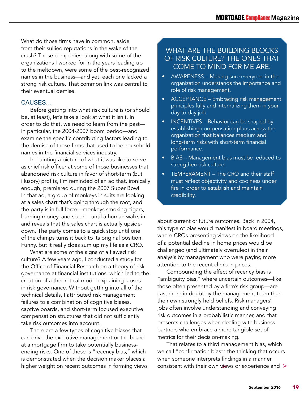What do those firms have in common, aside from their sullied reputations in the wake of the crash? Those companies, along with some of the organizations I worked for in the years leading up to the meltdown, were some of the best-recognized names in the business—and yet, each one lacked a strong risk culture. That common link was central to their eventual demise.

#### CAUSES…

Before getting into what risk culture is (or should be, at least), let's take a look at what it isn't. In order to do that, we need to learn from the past in particular, the 2004-2007 boom period—and examine the specific contributing factors leading to the demise of those firms that used to be household names in the financial services industry.

In painting a picture of what it was like to serve as chief risk officer at some of those businesses that abandoned risk culture in favor of short-term (but illusory) profits, I'm reminded of an ad that, ironically enough, premiered during the 2007 Super Bowl. In that ad, a group of monkeys in suits are looking at a sales chart that's going through the roof, and the party is in full force—monkeys smoking cigars, burning money, and so on—until a human walks in and reveals that the sales chart is actually upsidedown. The party comes to a quick stop until one of the chimps turns it back to its original position. Funny, but it really does sum up my life as a CRO.

What are some of the signs of a flawed risk culture? A few years ago, I conducted a study for the Office of Financial Research on a theory of risk governance at financial institutions, which led to the creation of a theoretical model explaining lapses in risk governance. Without getting into all of the technical details, I attributed risk management failures to a combination of cognitive biases, captive boards, and short-term focused executive compensation structures that did not sufficiently take risk outcomes into account.

There are a few types of cognitive biases that can drive the executive management or the board at a mortgage firm to take potentially businessending risks. One of these is "recency bias," which is demonstrated when the decision maker places a higher weight on recent outcomes in forming views

#### WHAT ARE THE BUILDING BLOCKS OF RISK CULTURE? THE ONES THAT COME TO MIND FOR ME ARE:

- AWARENESS Making sure everyone in the organization understands the importance and role of risk management.
- ACCEPTANCE Embracing risk management principles fully and internalizing them in your day to day job.
- INCENTIVES Behavior can be shaped by establishing compensation plans across the organization that balances medium and long-term risks with short-term financial performance.
- BIAS Management bias must be reduced to strengthen risk culture.
- TEMPERAMENT The CRO and their staff must reflect objectivity and coolness under fire in order to establish and maintain credibility.

about current or future outcomes. Back in 2004, this type of bias would manifest in board meetings, where CROs presenting views on the likelihood of a potential decline in home prices would be challenged (and ultimately overruled) in their analysis by management who were paying more attention to the recent climb in prices.

Compounding the effect of recency bias is "ambiguity bias," where uncertain outcomes—like those often presented by a firm's risk group—are cast more in doubt by the management team than their own strongly held beliefs. Risk managers' jobs often involve understanding and conveying risk outcomes in a probabilistic manner, and that presents challenges when dealing with business partners who embrace a more tangible set of metrics for their decision-making.

That relates to a third management bias, which we call "confirmation bias": the thinking that occurs when someone interprets findings in a manner consistent with their own views or experience and ∆ ∆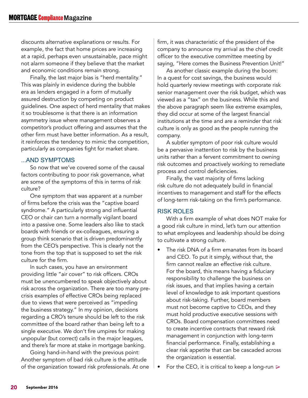discounts alternative explanations or results. For example, the fact that home prices are increasing at a rapid, perhaps even unsustainable, pace might not alarm someone if they believe that the market and economic conditions remain strong.

Finally, the last major bias is "herd mentality." This was plainly in evidence during the bubble era as lenders engaged in a form of mutually assured destruction by competing on product guidelines. One aspect of herd mentality that makes it so troublesome is that there is an information asymmetry issue where management observes a competitor's product offering and assumes that the other firm must have better information. As a result, it reinforces the tendency to mimic the competition, particularly as companies fight for market share.

#### ...AND SYMPTOMS

So now that we've covered some of the causal factors contributing to poor risk governance, what are some of the symptoms of this in terms of risk culture?

One symptom that was apparent at a number of firms before the crisis was the "captive board syndrome." A particularly strong and influential CEO or chair can turn a normally vigilant board into a passive one. Some leaders also like to stack boards with friends or ex-colleagues, ensuring a group think scenario that is driven predominantly from the CEO's perspective. This is clearly not the tone from the top that is supposed to set the risk culture for the firm.

In such cases, you have an environment providing little "air cover" to risk officers. CROs must be unencumbered to speak objectively about risk across the organization. There are too many precrisis examples of effective CROs being replaced due to views that were perceived as "impeding the business strategy." In my opinion, decisions regarding a CRO's tenure should be left to the risk committee of the board rather than being left to a single executive. We don't fire umpires for making unpopular (but correct) calls in the major leagues, and there's far more at stake in mortgage banking.

Going hand-in-hand with the previous point: Another symptom of bad risk culture is the attitude of the organization toward risk professionals. At one firm, it was characteristic of the president of the company to announce my arrival as the chief credit officer to the executive committee meeting by saying, "Here comes the Business Prevention Unit!"

As another classic example during the boom: In a quest for cost savings, the business would hold quarterly review meetings with corporate risk senior management over the risk budget, which was viewed as a "tax" on the business. While this and the above paragraph seem like extreme examples, they did occur at some of the largest financial institutions at the time and are a reminder that risk culture is only as good as the people running the company.

A subtler symptom of poor risk culture would be a pervasive inattention to risk by the business units rather than a fervent commitment to owning risk outcomes and proactively working to remediate process and control deficiencies.

Finally, the vast majority of firms lacking risk culture do not adequately build in financial incentives to management and staff for the effects of long-term risk-taking on the firm's performance.

#### RISK ROLES

With a firm example of what does NOT make for a good risk culture in mind, let's turn our attention to what employees and leadership should be doing to cultivate a strong culture.

- The risk DNA of a firm emanates from its board and CEO. To put it simply, without that, the firm cannot realize an effective risk culture. For the board, this means having a fiduciary responsibility to challenge the business on risk issues, and that implies having a certain level of knowledge to ask important questions about risk-taking. Further, board members must not become captive to CEOs, and they must hold productive executive sessions with CROs. Board compensation committees need to create incentive contracts that reward risk management in conjunction with long-term financial performance. Finally, establishing a clear risk appetite that can be cascaded across the organization is essential.
- For the CEO, it is critical to keep a long-run  $\triangleright$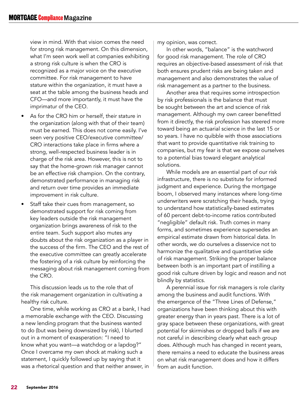view in mind. With that vision comes the need for strong risk management. On this dimension, what I'm seen work well at companies exhibiting a strong risk culture is when the CRO is recognized as a major voice on the executive committee. For risk management to have stature within the organization, it must have a seat at the table among the business heads and CFO—and more importantly, it must have the imprimatur of the CEO.

- As for the CRO him or herself, their stature in the organization (along with that of their team) must be earned. This does not come easily. I've seen very positive CEO/executive committee/ CRO interactions take place in firms where a strong, well-respected business leader is in charge of the risk area. However, this is not to say that the home-grown risk manager cannot be an effective risk champion. On the contrary, demonstrated performance in managing risk and return over time provides an immediate improvement in risk culture.
- Staff take their cues from management, so demonstrated support for risk coming from key leaders outside the risk management organization brings awareness of risk to the entire team. Such support also mutes any doubts about the risk organization as a player in the success of the firm. The CEO and the rest of the executive committee can greatly accelerate the fostering of a risk culture by reinforcing the messaging about risk management coming from the CRO.

This discussion leads us to the role that of the risk management organization in cultivating a healthy risk culture.

One time, while working as CRO at a bank, I had a memorable exchange with the CEO. Discussing a new lending program that the business wanted to do (but was being downsized by risk), I blurted out in a moment of exasperation: "I need to know what you want—a watchdog or a lapdog?" Once I overcame my own shock at making such a statement, I quickly followed up by saying that it was a rhetorical question and that neither answer, in

my opinion, was correct.

In other words, "balance" is the watchword for good risk management. The role of CRO requires an objective-based assessment of risk that both ensures prudent risks are being taken and management and also demonstrates the value of risk management as a partner to the business.

Another area that requires some introspection by risk professionals is the balance that must be sought between the art and science of risk management. Although my own career benefitted from it directly, the risk profession has steered more toward being an actuarial science in the last 15 or so years. I have no quibble with those associations that want to provide quantitative risk training to companies, but my fear is that we expose ourselves to a potential bias toward elegant analytical solutions.

While models are an essential part of our risk infrastructure, there is no substitute for informed judgment and experience. During the mortgage boom, I observed many instances where long-time underwriters were scratching their heads, trying to understand how statistically-based estimates of 60 percent debt-to-income ratios contributed "negligible" default risk. Truth comes in many forms, and sometimes experience supersedes an empirical estimate drawn from historical data. In other words, we do ourselves a disservice not to harmonize the qualitative and quantitative side of risk management. Striking the proper balance between both is an important part of instilling a good risk culture driven by logic and reason and not blindly by statistics.

A perennial issue for risk managers is role clarity among the business and audit functions. With the emergence of the "Three Lines of Defense," organizations have been thinking about this with greater energy than in years past. There is a lot of gray space between these organizations, with great potential for skirmishes or dropped balls if we are not careful in describing clearly what each group does. Although much has changed in recent years, there remains a need to educate the business areas on what risk management does and how it differs from an audit function.